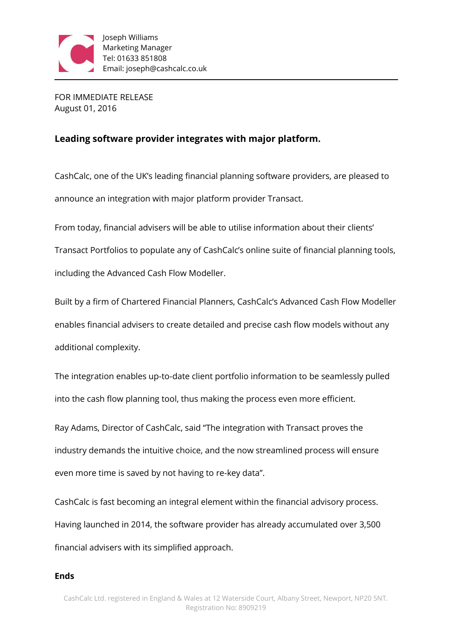

FOR IMMEDIATE RELEASE August 01, 2016

## **Leading software provider integrates with major platform.**

CashCalc, one of the UK's leading financial planning software providers, are pleased to announce an integration with major platform provider Transact.

From today, financial advisers will be able to utilise information about their clients' Transact Portfolios to populate any of CashCalc's online suite of financial planning tools,

including the Advanced Cash Flow Modeller.

Built by a firm of Chartered Financial Planners, CashCalc's Advanced Cash Flow Modeller enables financial advisers to create detailed and precise cash flow models without any additional complexity.

The integration enables up-to-date client portfolio information to be seamlessly pulled into the cash flow planning tool, thus making the process even more efficient.

Ray Adams, Director of CashCalc, said "The integration with Transact proves the industry demands the intuitive choice, and the now streamlined process will ensure even more time is saved by not having to re-key data".

CashCalc is fast becoming an integral element within the financial advisory process. Having launched in 2014, the software provider has already accumulated over 3,500 financial advisers with its simplified approach.

## **Ends**